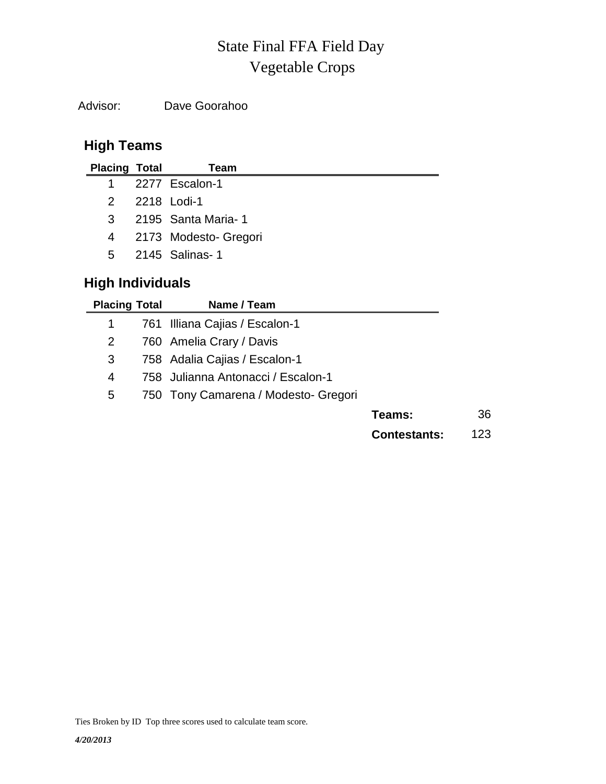# Vegetable Crops State Final FFA Field Day

Advisor: Dave Goorahoo

## **High Teams**

| <b>Placing Total</b>    | Team                             |
|-------------------------|----------------------------------|
| 1                       | 2277 Escalon-1                   |
| 2                       | 2218 Lodi-1                      |
| 3                       | 2195 Santa Maria-1               |
| 4                       | 2173 Modesto- Gregori            |
| 5.                      | 2145 Salinas- 1                  |
| <b>High Individuals</b> |                                  |
| <b>Placing Total</b>    | Name / Team                      |
|                         | 761 - Illiana Caijas / Escalon-1 |

|   | 761 Illiana Cajias / Escalon-1       |                     |      |
|---|--------------------------------------|---------------------|------|
| 2 | 760 Amelia Crary / Davis             |                     |      |
| 3 | 758 Adalia Cajias / Escalon-1        |                     |      |
| 4 | 758 Julianna Antonacci / Escalon-1   |                     |      |
| 5 | 750 Tony Camarena / Modesto- Gregori |                     |      |
|   |                                      | Teams:              | 36   |
|   |                                      | <b>Contestants:</b> | 123. |

Ties Broken by ID Top three scores used to calculate team score.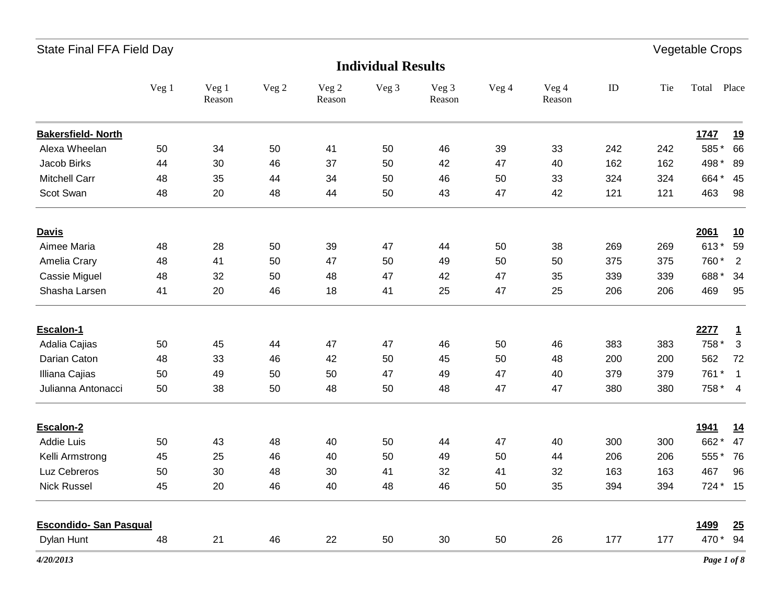| <b>Individual Results</b>     |       |                 |       |                 |       |                 |       |                 |     |     |             |              |
|-------------------------------|-------|-----------------|-------|-----------------|-------|-----------------|-------|-----------------|-----|-----|-------------|--------------|
|                               | Veg 1 | Veg 1<br>Reason | Veg 2 | Veg 2<br>Reason | Veg 3 | Veg 3<br>Reason | Veg 4 | Veg 4<br>Reason | ID  | Tie | Total       | Place        |
| <b>Bakersfield- North</b>     |       |                 |       |                 |       |                 |       |                 |     |     | 1747        | <u>19</u>    |
| Alexa Wheelan                 | 50    | 34              | 50    | 41              | 50    | 46              | 39    | 33              | 242 | 242 | 585*        | 66           |
| Jacob Birks                   | 44    | 30              | 46    | 37              | 50    | 42              | 47    | 40              | 162 | 162 | 498 *       | 89           |
| <b>Mitchell Carr</b>          | 48    | 35              | 44    | 34              | 50    | 46              | 50    | 33              | 324 | 324 | 664*        | 45           |
| Scot Swan                     | 48    | 20              | 48    | 44              | 50    | 43              | 47    | 42              | 121 | 121 | 463         | 98           |
| <b>Davis</b>                  |       |                 |       |                 |       |                 |       |                 |     |     | 2061        | <u>10</u>    |
| Aimee Maria                   | 48    | 28              | 50    | 39              | 47    | 44              | 50    | 38              | 269 | 269 | 613*        | 59           |
| Amelia Crary                  | 48    | 41              | 50    | 47              | 50    | 49              | 50    | 50              | 375 | 375 | 760*        | 2            |
| Cassie Miguel                 | 48    | 32              | 50    | 48              | 47    | 42              | 47    | 35              | 339 | 339 | 688*        | 34           |
| Shasha Larsen                 | 41    | 20              | 46    | 18              | 41    | 25              | 47    | 25              | 206 | 206 | 469         | 95           |
| Escalon-1                     |       |                 |       |                 |       |                 |       |                 |     |     | 2277        | $\mathbf{1}$ |
| Adalia Cajias                 | 50    | 45              | 44    | 47              | 47    | 46              | 50    | 46              | 383 | 383 | 758 *       | $\sqrt{3}$   |
| Darian Caton                  | 48    | 33              | 46    | 42              | 50    | 45              | 50    | 48              | 200 | 200 | 562         | 72           |
| Illiana Cajias                | 50    | 49              | 50    | 50              | 47    | 49              | 47    | 40              | 379 | 379 | 761 *       | $\mathbf{1}$ |
| Julianna Antonacci            | 50    | 38              | 50    | 48              | 50    | 48              | 47    | 47              | 380 | 380 | 758 * 4     |              |
| Escalon-2                     |       |                 |       |                 |       |                 |       |                 |     |     | <u>1941</u> | <u>14</u>    |
| Addie Luis                    | 50    | 43              | 48    | 40              | 50    | 44              | 47    | 40              | 300 | 300 | 662*        | 47           |
| Kelli Armstrong               | 45    | 25              | 46    | 40              | 50    | 49              | 50    | 44              | 206 | 206 | 555*        | 76           |
| Luz Cebreros                  | 50    | 30              | 48    | 30              | 41    | 32              | 41    | 32              | 163 | 163 | 467         | 96           |
| <b>Nick Russel</b>            | 45    | 20              | 46    | 40              | 48    | 46              | 50    | 35              | 394 | 394 | 724 * 15    |              |
| <b>Escondido- San Pasqual</b> |       |                 |       |                 |       |                 |       |                 |     |     | 1499        | 25           |
| Dylan Hunt                    | 48    | 21              | 46    | 22              | 50    | 30              | 50    | 26              | 177 | 177 | 470 *       | 94           |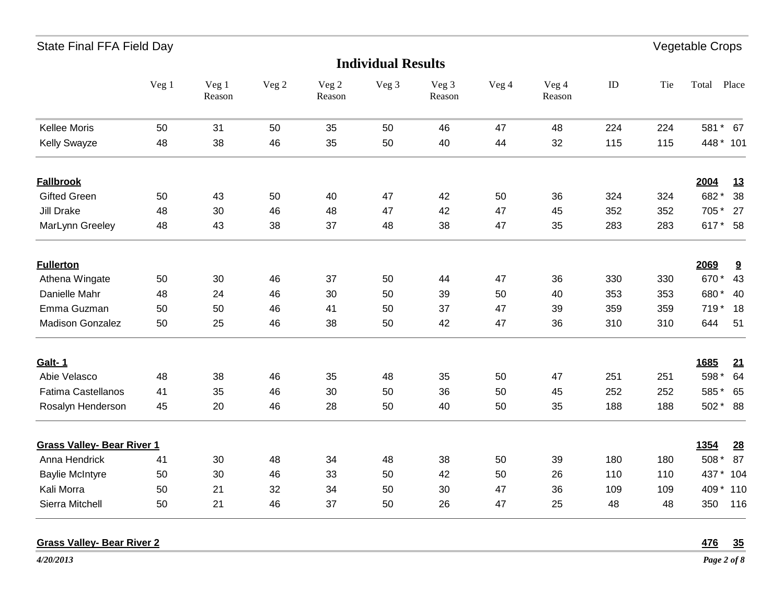| State Final FFA Field Day         |       |                 |       |                 |                           |                 |       |                 |     |     | Vegetable Crops   |
|-----------------------------------|-------|-----------------|-------|-----------------|---------------------------|-----------------|-------|-----------------|-----|-----|-------------------|
|                                   |       |                 |       |                 | <b>Individual Results</b> |                 |       |                 |     |     |                   |
|                                   | Veg 1 | Veg 1<br>Reason | Veg 2 | Veg 2<br>Reason | Veg 3                     | Veg 3<br>Reason | Veg 4 | Veg 4<br>Reason | ID  | Tie | Place<br>Total    |
| Kellee Moris                      | 50    | 31              | 50    | 35              | 50                        | 46              | 47    | 48              | 224 | 224 | 581 * 67          |
| <b>Kelly Swayze</b>               | 48    | 38              | 46    | 35              | 50                        | 40              | 44    | 32              | 115 | 115 | 448 * 101         |
| <b>Fallbrook</b>                  |       |                 |       |                 |                           |                 |       |                 |     |     | 2004<br><u>13</u> |
| <b>Gifted Green</b>               | 50    | 43              | 50    | 40              | 47                        | 42              | 50    | 36              | 324 | 324 | 682*<br>38        |
| <b>Jill Drake</b>                 | 48    | 30              | 46    | 48              | 47                        | 42              | 47    | 45              | 352 | 352 | 705 *<br>27       |
| MarLynn Greeley                   | 48    | 43              | 38    | 37              | 48                        | 38              | 47    | 35              | 283 | 283 | 617 * 58          |
| <b>Fullerton</b>                  |       |                 |       |                 |                           |                 |       |                 |     |     | 2069<br>9         |
| Athena Wingate                    | 50    | 30              | 46    | 37              | 50                        | 44              | 47    | 36              | 330 | 330 | 670*<br>43        |
| Danielle Mahr                     | 48    | 24              | 46    | 30              | 50                        | 39              | 50    | 40              | 353 | 353 | 680*<br>- 40      |
| Emma Guzman                       | 50    | 50              | 46    | 41              | 50                        | 37              | 47    | 39              | 359 | 359 | 719 * 18          |
| Madison Gonzalez                  | 50    | 25              | 46    | 38              | 50                        | 42              | 47    | 36              | 310 | 310 | 644<br>51         |
| Galt-1                            |       |                 |       |                 |                           |                 |       |                 |     |     | 1685<br>21        |
| Abie Velasco                      | 48    | 38              | 46    | 35              | 48                        | 35              | 50    | 47              | 251 | 251 | 598 *<br>64       |
| Fatima Castellanos                | 41    | 35              | 46    | 30              | 50                        | 36              | 50    | 45              | 252 | 252 | 585*<br>65        |
| Rosalyn Henderson                 | 45    | 20              | 46    | 28              | 50                        | 40              | 50    | 35              | 188 | 188 | 502 * 88          |
| <b>Grass Valley- Bear River 1</b> |       |                 |       |                 |                           |                 |       |                 |     |     | 1354<br>28        |
| Anna Hendrick                     | 41    | 30              | 48    | 34              | 48                        | 38              | 50    | 39              | 180 | 180 | 508 *<br>87       |
| <b>Baylie McIntyre</b>            | 50    | 30              | 46    | 33              | 50                        | 42              | 50    | 26              | 110 | 110 | 437 *<br>104      |
| Kali Morra                        | 50    | 21              | 32    | 34              | 50                        | 30              | 47    | 36              | 109 | 109 | 409*<br>110       |
| Sierra Mitchell                   | 50    | 21              | 46    | 37              | 50                        | 26              | 47    | 25              | 48  | 48  | 350<br>116        |

### **Grass Valley- Bear River 2 476 35**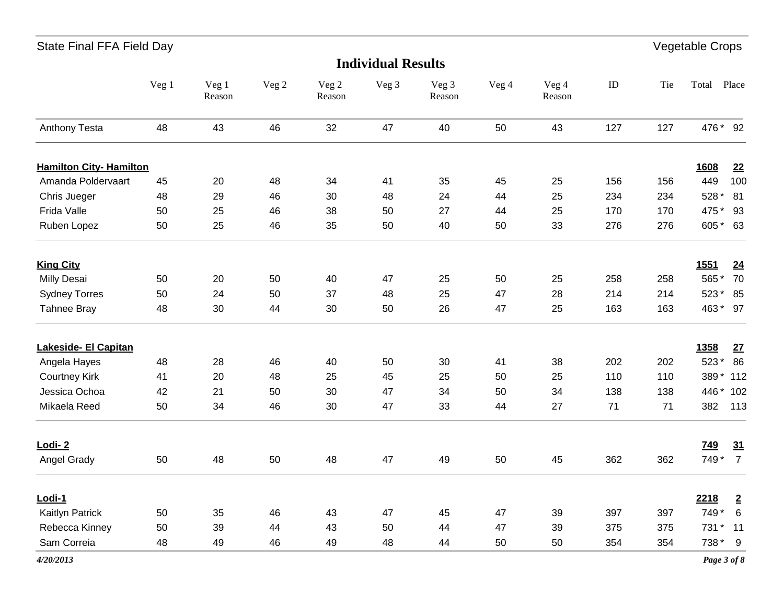| <b>Individual Results</b>      |       |                 |       |                 |       |                 |       |                 |          |     |             |                 |
|--------------------------------|-------|-----------------|-------|-----------------|-------|-----------------|-------|-----------------|----------|-----|-------------|-----------------|
|                                | Veg 1 | Veg 1<br>Reason | Veg 2 | Veg 2<br>Reason | Veg 3 | Veg 3<br>Reason | Veg 4 | Veg 4<br>Reason | $\rm ID$ | Tie | Total Place |                 |
| Anthony Testa                  | 48    | 43              | 46    | 32              | 47    | 40              | 50    | 43              | 127      | 127 | 476 * 92    |                 |
| <b>Hamilton City- Hamilton</b> |       |                 |       |                 |       |                 |       |                 |          |     | 1608        | 22              |
| Amanda Poldervaart             | 45    | 20              | 48    | 34              | 41    | 35              | 45    | 25              | 156      | 156 | 449         | 100             |
| Chris Jueger                   | 48    | 29              | 46    | 30              | 48    | 24              | 44    | 25              | 234      | 234 | 528 *       | 81              |
| Frida Valle                    | 50    | 25              | 46    | 38              | 50    | 27              | 44    | 25              | 170      | 170 | 475 *       | 93              |
| Ruben Lopez                    | 50    | 25              | 46    | 35              | 50    | 40              | 50    | 33              | 276      | 276 | 605* 63     |                 |
| <b>King City</b>               |       |                 |       |                 |       |                 |       |                 |          |     | 1551        | 24              |
| <b>Milly Desai</b>             | 50    | 20              | 50    | 40              | 47    | 25              | 50    | 25              | 258      | 258 | 565*        | 70              |
| <b>Sydney Torres</b>           | 50    | 24              | 50    | 37              | 48    | 25              | 47    | 28              | 214      | 214 | 523*        | 85              |
| Tahnee Bray                    | 48    | 30              | 44    | 30              | 50    | 26              | 47    | 25              | 163      | 163 | 463 * 97    |                 |
| Lakeside- El Capitan           |       |                 |       |                 |       |                 |       |                 |          |     | 1358        | 27              |
| Angela Hayes                   | 48    | 28              | 46    | 40              | 50    | 30              | 41    | 38              | 202      | 202 | 523*        | 86              |
| <b>Courtney Kirk</b>           | 41    | 20              | 48    | 25              | 45    | 25              | 50    | 25              | 110      | 110 | 389*        | 112             |
| Jessica Ochoa                  | 42    | 21              | 50    | 30              | 47    | 34              | 50    | 34              | 138      | 138 | 446 * 102   |                 |
| Mikaela Reed                   | 50    | 34              | 46    | 30              | 47    | 33              | 44    | 27              | 71       | 71  | 382         | 113             |
| Lodi-2                         |       |                 |       |                 |       |                 |       |                 |          |     | <b>749</b>  | 31              |
| Angel Grady                    | 50    | 48              | 50    | 48              | 47    | 49              | 50    | 45              | 362      | 362 | 749 * 7     |                 |
| Lodi-1                         |       |                 |       |                 |       |                 |       |                 |          |     | 2218        | $\overline{2}$  |
| Kaitlyn Patrick                | 50    | 35              | 46    | 43              | 47    | 45              | 47    | 39              | 397      | 397 | 749*        | $6\phantom{1}6$ |
| Rebecca Kinney                 | 50    | 39              | 44    | 43              | 50    | 44              | 47    | 39              | 375      | 375 | 731 *       | 11              |
| Sam Correia                    | 48    | 49              | 46    | 49              | 48    | 44              | 50    | 50              | 354      | 354 | 738 *       | 9               |
| 4/20/2013                      |       |                 |       |                 |       |                 |       |                 |          |     | Page 3 of 8 |                 |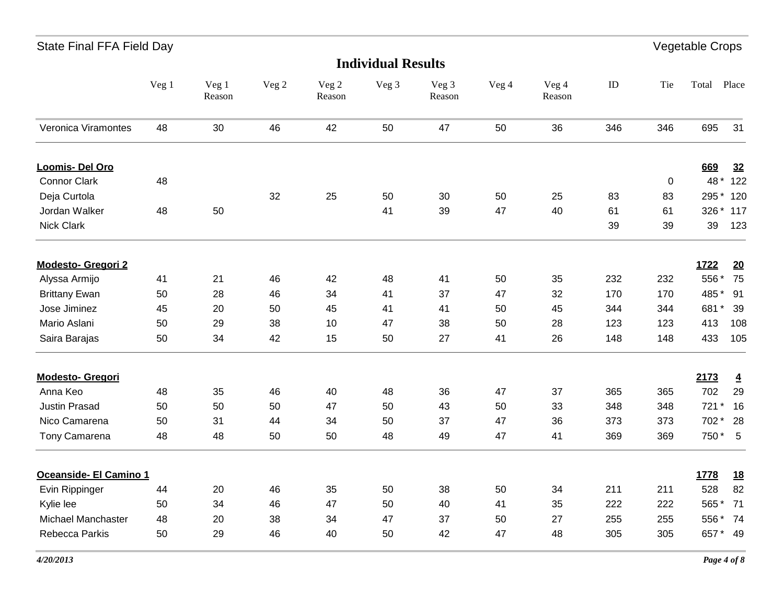| State Final FFA Field Day |       |                 |       |                 |                           |                 |       |                 |     |     | Vegetable Crops |                |
|---------------------------|-------|-----------------|-------|-----------------|---------------------------|-----------------|-------|-----------------|-----|-----|-----------------|----------------|
|                           |       |                 |       |                 | <b>Individual Results</b> |                 |       |                 |     |     |                 |                |
|                           | Veg 1 | Veg 1<br>Reason | Veg 2 | Veg 2<br>Reason | Veg 3                     | Veg 3<br>Reason | Veg 4 | Veg 4<br>Reason | ID  | Tie | Total Place     |                |
| Veronica Viramontes       | 48    | 30              | 46    | 42              | 50                        | 47              | 50    | 36              | 346 | 346 | 695             | 31             |
| Loomis- Del Oro           |       |                 |       |                 |                           |                 |       |                 |     |     | 669             | 32             |
| <b>Connor Clark</b>       | 48    |                 |       |                 |                           |                 |       |                 |     | 0   | 48 *            | 122            |
| Deja Curtola              |       |                 | 32    | 25              | 50                        | 30              | 50    | 25              | 83  | 83  | 295 *           | 120            |
| Jordan Walker             | 48    | 50              |       |                 | 41                        | 39              | 47    | 40              | 61  | 61  | 326 *           | 117            |
| <b>Nick Clark</b>         |       |                 |       |                 |                           |                 |       |                 | 39  | 39  | 39              | 123            |
| <b>Modesto- Gregori 2</b> |       |                 |       |                 |                           |                 |       |                 |     |     | 1722            | 20             |
| Alyssa Armijo             | 41    | 21              | 46    | 42              | 48                        | 41              | 50    | 35              | 232 | 232 | 556 *           | 75             |
| <b>Brittany Ewan</b>      | 50    | 28              | 46    | 34              | 41                        | 37              | 47    | 32              | 170 | 170 | 485 *           | 91             |
| Jose Jiminez              | 45    | 20              | 50    | 45              | 41                        | 41              | 50    | 45              | 344 | 344 | 681*            | 39             |
| Mario Aslani              | 50    | 29              | 38    | 10              | 47                        | 38              | 50    | 28              | 123 | 123 | 413             | 108            |
| Saira Barajas             | 50    | 34              | 42    | 15              | 50                        | 27              | 41    | 26              | 148 | 148 | 433             | 105            |
| <b>Modesto- Gregori</b>   |       |                 |       |                 |                           |                 |       |                 |     |     | 2173            | $\overline{4}$ |
| Anna Keo                  | 48    | 35              | 46    | 40              | 48                        | 36              | 47    | 37              | 365 | 365 | 702             | 29             |
| <b>Justin Prasad</b>      | 50    | 50              | 50    | 47              | 50                        | 43              | 50    | 33              | 348 | 348 | 721             | 16             |
| Nico Camarena             | 50    | 31              | 44    | 34              | 50                        | 37              | 47    | 36              | 373 | 373 | 702 * 28        |                |
| Tony Camarena             | 48    | 48              | 50    | 50              | 48                        | 49              | 47    | 41              | 369 | 369 | 750 * 5         |                |
| Oceanside- El Camino 1    |       |                 |       |                 |                           |                 |       |                 |     |     | 1778            | <u>18</u>      |
| Evin Rippinger            | 44    | 20              | 46    | 35              | 50                        | 38              | 50    | 34              | 211 | 211 | 528             | 82             |
| Kylie lee                 | 50    | 34              | 46    | 47              | 50                        | 40              | 41    | 35              | 222 | 222 | 565 * 71        |                |
| <b>Michael Manchaster</b> | 48    | 20              | 38    | 34              | 47                        | 37              | 50    | 27              | 255 | 255 | 556 * 74        |                |
| Rebecca Parkis            | 50    | 29              | 46    | 40              | 50                        | 42              | 47    | 48              | 305 | 305 | 657* 49         |                |
|                           |       |                 |       |                 |                           |                 |       |                 |     |     |                 |                |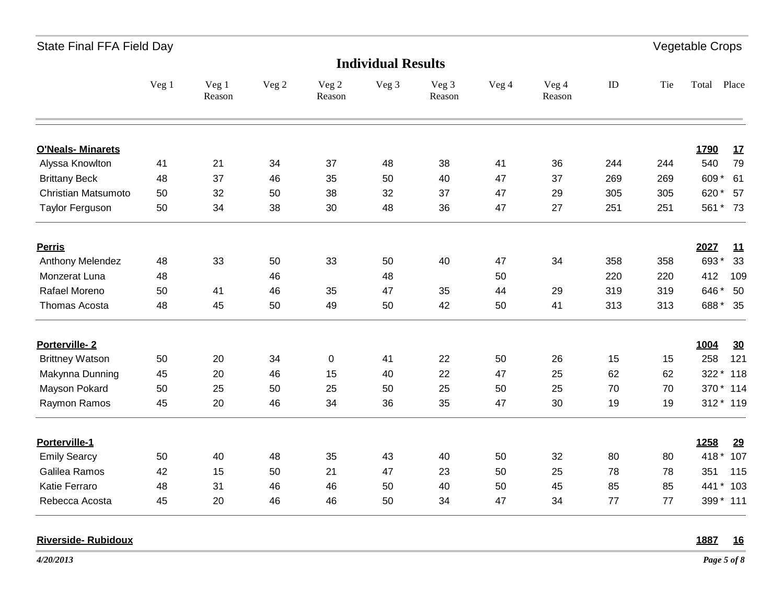| <b>Individual Results</b> |       |                 |       |                 |       |                 |       |                 |     |     |                   |
|---------------------------|-------|-----------------|-------|-----------------|-------|-----------------|-------|-----------------|-----|-----|-------------------|
|                           | Veg 1 | Veg 1<br>Reason | Veg 2 | Veg 2<br>Reason | Veg 3 | Veg 3<br>Reason | Veg 4 | Veg 4<br>Reason | ID  | Tie | Total<br>Place    |
| <b>O'Neals- Minarets</b>  |       |                 |       |                 |       |                 |       |                 |     |     | 1790<br><u>17</u> |
| Alyssa Knowlton           | 41    | 21              | 34    | 37              | 48    | 38              | 41    | 36              | 244 | 244 | 540<br>79         |
| <b>Brittany Beck</b>      | 48    | 37              | 46    | 35              | 50    | 40              | 47    | 37              | 269 | 269 | 609*<br>61        |
| Christian Matsumoto       | 50    | 32              | 50    | 38              | 32    | 37              | 47    | 29              | 305 | 305 | 620*<br>57        |
| <b>Taylor Ferguson</b>    | 50    | 34              | 38    | 30              | 48    | 36              | 47    | 27              | 251 | 251 | 561 * 73          |
| <b>Perris</b>             |       |                 |       |                 |       |                 |       |                 |     |     | 2027<br>11        |
| Anthony Melendez          | 48    | 33              | 50    | 33              | 50    | 40              | 47    | 34              | 358 | 358 | 693*<br>33        |
| Monzerat Luna             | 48    |                 | 46    |                 | 48    |                 | 50    |                 | 220 | 220 | 412<br>109        |
| Rafael Moreno             | 50    | 41              | 46    | 35              | 47    | 35              | 44    | 29              | 319 | 319 | 646*<br>50        |
| Thomas Acosta             | 48    | 45              | 50    | 49              | 50    | 42              | 50    | 41              | 313 | 313 | 688* 35           |
| Porterville-2             |       |                 |       |                 |       |                 |       |                 |     |     | 1004<br>30        |
| <b>Brittney Watson</b>    | 50    | 20              | 34    | 0               | 41    | 22              | 50    | 26              | 15  | 15  | 121<br>258        |
| Makynna Dunning           | 45    | 20              | 46    | 15              | 40    | 22              | 47    | 25              | 62  | 62  | 322 * 118         |
| Mayson Pokard             | 50    | 25              | 50    | 25              | 50    | 25              | 50    | 25              | 70  | 70  | 370 * 114         |
| Raymon Ramos              | 45    | 20              | 46    | 34              | 36    | 35              | 47    | 30              | 19  | 19  | 312 * 119         |
| Porterville-1             |       |                 |       |                 |       |                 |       |                 |     |     | 1258<br>29        |
| <b>Emily Searcy</b>       | 50    | 40              | 48    | 35              | 43    | 40              | 50    | 32              | 80  | 80  | $418*$<br>107     |
| Galilea Ramos             | 42    | 15              | 50    | 21              | 47    | 23              | 50    | 25              | 78  | 78  | 115<br>351        |
| Katie Ferraro             | 48    | 31              | 46    | 46              | 50    | 40              | 50    | 45              | 85  | 85  | 441 * 103         |
| Rebecca Acosta            | 45    | 20              | 46    | 46              | 50    | 34              | 47    | 34              | 77  | 77  | 399 * 111         |

### **Riverside- Rubidoux 1887 16**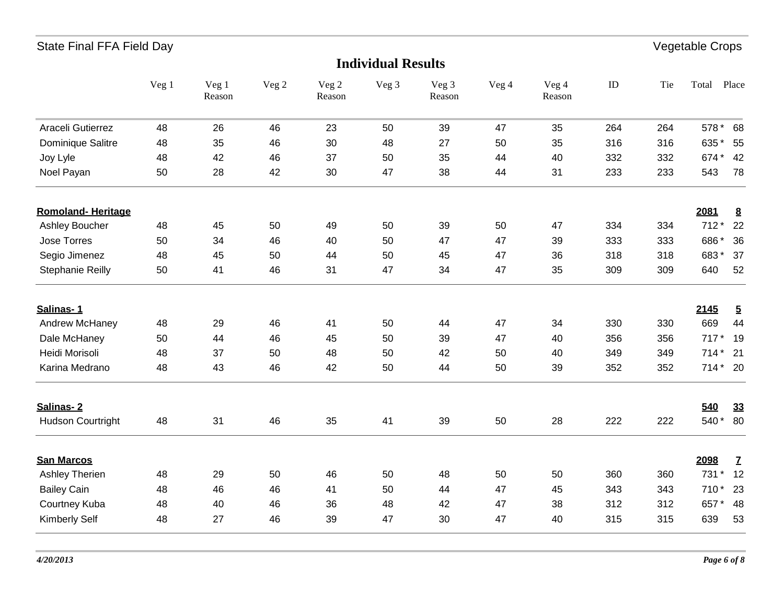| <b>Individual Results</b> |       |                 |       |                 |       |                 |       |                 |     |     |                |                 |
|---------------------------|-------|-----------------|-------|-----------------|-------|-----------------|-------|-----------------|-----|-----|----------------|-----------------|
|                           | Veg 1 | Veg 1<br>Reason | Veg 2 | Veg 2<br>Reason | Veg 3 | Veg 3<br>Reason | Veg 4 | Veg 4<br>Reason | ID  | Tie | Total          | Place           |
| Araceli Gutierrez         | 48    | 26              | 46    | 23              | 50    | 39              | 47    | 35              | 264 | 264 | 578 *          | 68              |
| Dominique Salitre         | 48    | 35              | 46    | 30              | 48    | 27              | 50    | 35              | 316 | 316 | 635*           | 55              |
| Joy Lyle                  | 48    | 42              | 46    | 37              | 50    | 35              | 44    | 40              | 332 | 332 | 674*           | 42              |
| Noel Payan                | 50    | 28              | 42    | 30              | 47    | 38              | 44    | 31              | 233 | 233 | 543            | 78              |
| <b>Romoland-Heritage</b>  |       |                 |       |                 |       |                 |       |                 |     |     | 2081           | $\underline{8}$ |
| Ashley Boucher            | 48    | 45              | 50    | 49              | 50    | 39              | 50    | 47              | 334 | 334 | $712*$         | 22              |
| Jose Torres               | 50    | 34              | 46    | 40              | 50    | 47              | 47    | 39              | 333 | 333 | 686*           | 36              |
| Segio Jimenez             | 48    | 45              | 50    | 44              | 50    | 45              | 47    | 36              | 318 | 318 | 683*           | 37              |
| Stephanie Reilly          | 50    | 41              | 46    | 31              | 47    | 34              | 47    | 35              | 309 | 309 | 640            | 52              |
| Salinas-1                 |       |                 |       |                 |       |                 |       |                 |     |     | 2145           | $\overline{2}$  |
| Andrew McHaney            | 48    | 29              | 46    | 41              | 50    | 44              | 47    | 34              | 330 | 330 | 669            | 44              |
| Dale McHaney              | 50    | 44              | 46    | 45              | 50    | 39              | 47    | 40              | 356 | 356 | $717*$         | 19              |
| Heidi Morisoli            | 48    | 37              | 50    | 48              | 50    | 42              | 50    | 40              | 349 | 349 | $714*$         | 21              |
| Karina Medrano            | 48    | 43              | 46    | 42              | 50    | 44              | 50    | 39              | 352 | 352 | 714 * 20       |                 |
| Salinas-2                 |       |                 |       |                 |       |                 |       |                 |     |     | 540            | 33              |
| <b>Hudson Courtright</b>  | 48    | 31              | 46    | 35              | 41    | 39              | 50    | 28              | 222 | 222 | 540*           | 80              |
| <b>San Marcos</b>         |       |                 |       |                 |       |                 |       |                 |     |     | 2098           | $\mathbf{Z}$    |
| Ashley Therien            | 48    | 29              | 50    | 46              | 50    | 48              | 50    | 50              | 360 | 360 | 731<br>$\star$ | 12              |
| <b>Bailey Cain</b>        | 48    | 46              | 46    | 41              | 50    | 44              | 47    | 45              | 343 | 343 | 710*           | 23              |
| Courtney Kuba             | 48    | 40              | 46    | 36              | 48    | 42              | 47    | 38              | 312 | 312 | 657*           | 48              |
| <b>Kimberly Self</b>      | 48    | 27              | 46    | 39              | 47    | 30              | 47    | 40              | 315 | 315 | 639            | 53              |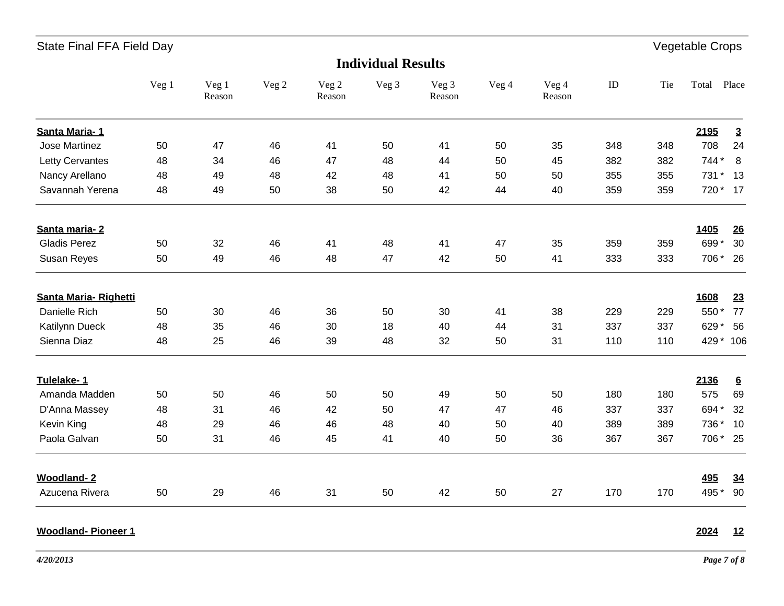| <b>Individual Results</b> |       |                 |       |                 |       |                 |       |                 |     |     |            |                 |
|---------------------------|-------|-----------------|-------|-----------------|-------|-----------------|-------|-----------------|-----|-----|------------|-----------------|
|                           | Veg 1 | Veg 1<br>Reason | Veg 2 | Veg 2<br>Reason | Veg 3 | Veg 3<br>Reason | Veg 4 | Veg 4<br>Reason | ID  | Tie | Total      | Place           |
| Santa Maria-1             |       |                 |       |                 |       |                 |       |                 |     |     | 2195       | $\overline{3}$  |
| Jose Martinez             | 50    | 47              | 46    | 41              | 50    | 41              | 50    | 35              | 348 | 348 | 708        | 24              |
| <b>Letty Cervantes</b>    | 48    | 34              | 46    | 47              | 48    | 44              | 50    | 45              | 382 | 382 | 744 *      | 8               |
| Nancy Arellano            | 48    | 49              | 48    | 42              | 48    | 41              | 50    | 50              | 355 | 355 | 731        | 13              |
| Savannah Yerena           | 48    | 49              | 50    | 38              | 50    | 42              | 44    | 40              | 359 | 359 | 720 *      | 17              |
| Santa maria-2             |       |                 |       |                 |       |                 |       |                 |     |     | 1405       | 26              |
| <b>Gladis Perez</b>       | 50    | 32              | 46    | 41              | 48    | 41              | 47    | 35              | 359 | 359 | 699*       | 30              |
| Susan Reyes               | 50    | 49              | 46    | 48              | 47    | 42              | 50    | 41              | 333 | 333 | 706 *      | - 26            |
| Santa Maria-Righetti      |       |                 |       |                 |       |                 |       |                 |     |     | 1608       | 23              |
| Danielle Rich             | 50    | 30              | 46    | 36              | 50    | 30              | 41    | 38              | 229 | 229 | 550*       | 77              |
| Katilynn Dueck            | 48    | 35              | 46    | 30              | 18    | 40              | 44    | 31              | 337 | 337 | 629*       | 56              |
| Sienna Diaz               | 48    | 25              | 46    | 39              | 48    | 32              | 50    | 31              | 110 | 110 | 429 * 106  |                 |
| Tulelake-1                |       |                 |       |                 |       |                 |       |                 |     |     | 2136       | $6\overline{6}$ |
| Amanda Madden             | 50    | 50              | 46    | 50              | 50    | 49              | 50    | 50              | 180 | 180 | 575        | 69              |
| D'Anna Massey             | 48    | 31              | 46    | 42              | 50    | 47              | 47    | 46              | 337 | 337 | 694*       | 32              |
| Kevin King                | 48    | 29              | 46    | 46              | 48    | 40              | 50    | 40              | 389 | 389 | 736 *      | 10              |
| Paola Galvan              | 50    | 31              | 46    | 45              | 41    | 40              | 50    | 36              | 367 | 367 | 706 * 25   |                 |
| <b>Woodland-2</b>         |       |                 |       |                 |       |                 |       |                 |     |     | <b>495</b> | 34              |
| Azucena Rivera            | 50    | 29              | 46    | 31              | 50    | 42              | 50    | 27              | 170 | 170 | 495 *      | 90              |

#### **Woodland- Pioneer 1 2024 12**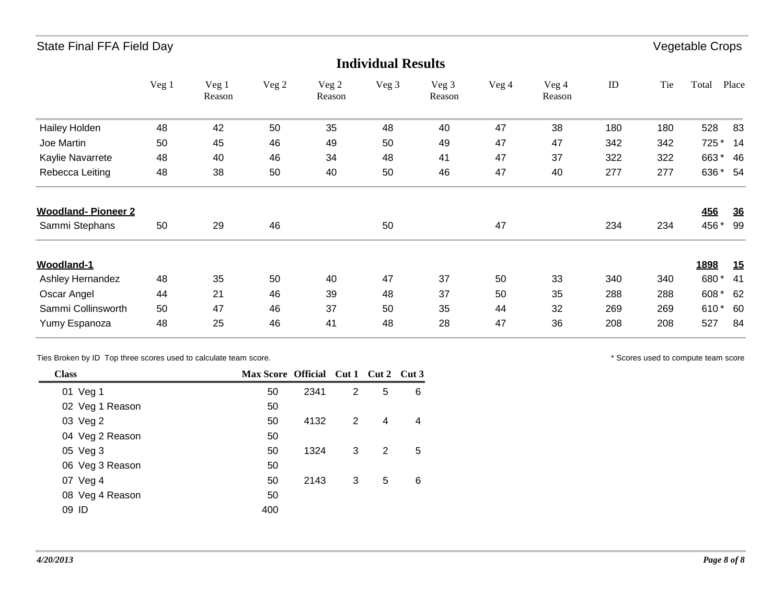|                           |       |                 |       |                 | <b>Individual Results</b> |                 |       |                 |     |     |            |           |
|---------------------------|-------|-----------------|-------|-----------------|---------------------------|-----------------|-------|-----------------|-----|-----|------------|-----------|
|                           | Veg 1 | Veg 1<br>Reason | Veg 2 | Veg 2<br>Reason | Veg 3                     | Veg 3<br>Reason | Veg 4 | Veg 4<br>Reason | ID  | Tie | Total      | Place     |
| <b>Hailey Holden</b>      | 48    | 42              | 50    | 35              | 48                        | 40              | 47    | 38              | 180 | 180 | 528        | 83        |
| Joe Martin                | 50    | 45              | 46    | 49              | 50                        | 49              | 47    | 47              | 342 | 342 | 725 *      | -14       |
| Kaylie Navarrete          | 48    | 40              | 46    | 34              | 48                        | 41              | 47    | 37              | 322 | 322 | 663*       | 46        |
| Rebecca Leiting           | 48    | 38              | 50    | 40              | 50                        | 46              | 47    | 40              | 277 | 277 | 636        | 54        |
| <b>Woodland-Pioneer 2</b> |       |                 |       |                 |                           |                 |       |                 |     |     | <b>456</b> | <u>36</u> |
| Sammi Stephans            | 50    | 29              | 46    |                 | 50                        |                 | 47    |                 | 234 | 234 | 456 *      | 99        |
| <b>Woodland-1</b>         |       |                 |       |                 |                           |                 |       |                 |     |     | 1898       | 15        |
| Ashley Hernandez          | 48    | 35              | 50    | 40              | 47                        | 37              | 50    | 33              | 340 | 340 | 680*       | 41        |
| Oscar Angel               | 44    | 21              | 46    | 39              | 48                        | 37              | 50    | 35              | 288 | 288 | 608        | 62        |
| Sammi Collinsworth        | 50    | 47              | 46    | 37              | 50                        | 35              | 44    | 32              | 269 | 269 | 610*       | 60        |
| Yumy Espanoza             | 48    | 25              | 46    | 41              | 48                        | 28              | 47    | 36              | 208 | 208 | 527        | 84        |

Ties Broken by ID Top three scores used to calculate team score.  $\blacksquare$ 

| <b>Class</b>    | Max Score Official Cut 1 Cut 2 Cut 3 |      |                |                |   |
|-----------------|--------------------------------------|------|----------------|----------------|---|
| 01 Veg 1        | 50                                   | 2341 | 2              | 5              | 6 |
| 02 Veg 1 Reason | 50                                   |      |                |                |   |
| 03 Veg 2        | 50                                   | 4132 | $\overline{2}$ | $\overline{4}$ | 4 |
| 04 Veg 2 Reason | 50                                   |      |                |                |   |
| 05 Veg 3        | 50                                   | 1324 | 3              | 2              | 5 |
| 06 Veg 3 Reason | 50                                   |      |                |                |   |
| 07 Veg 4        | 50                                   | 2143 | 3              | 5              | 6 |
| 08 Veg 4 Reason | 50                                   |      |                |                |   |
| 09 ID           | 400                                  |      |                |                |   |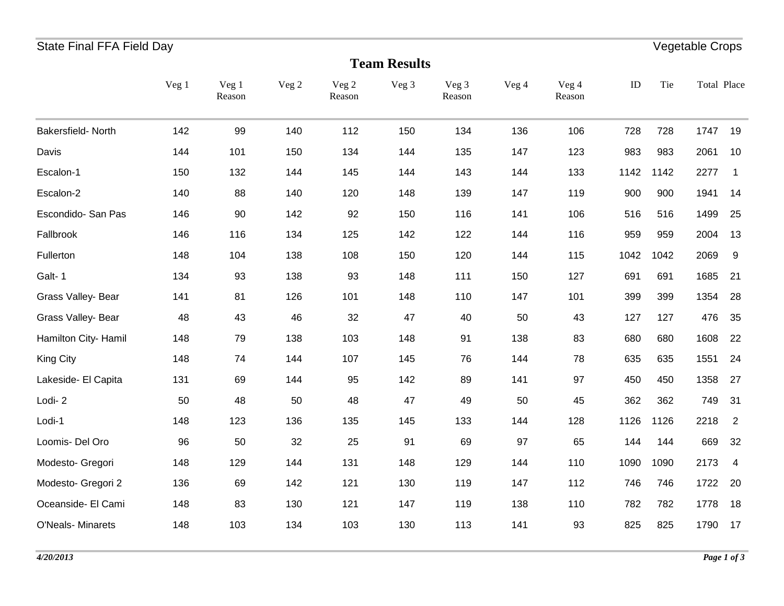# State Final FFA Field Day **Vegetable Crops**

| <b>Team Results</b>      |       |                 |       |                 |       |                 |       |                 |      |      |             |                |
|--------------------------|-------|-----------------|-------|-----------------|-------|-----------------|-------|-----------------|------|------|-------------|----------------|
|                          | Veg 1 | Veg 1<br>Reason | Veg 2 | Veg 2<br>Reason | Veg 3 | Veg 3<br>Reason | Veg 4 | Veg 4<br>Reason | ID   | Tie  | Total Place |                |
| Bakersfield-North        | 142   | 99              | 140   | 112             | 150   | 134             | 136   | 106             | 728  | 728  | 1747        | 19             |
| Davis                    | 144   | 101             | 150   | 134             | 144   | 135             | 147   | 123             | 983  | 983  | 2061        | 10             |
| Escalon-1                | 150   | 132             | 144   | 145             | 144   | 143             | 144   | 133             | 1142 | 1142 | 2277        | $\mathbf 1$    |
| Escalon-2                | 140   | 88              | 140   | 120             | 148   | 139             | 147   | 119             | 900  | 900  | 1941        | 14             |
| Escondido- San Pas       | 146   | 90              | 142   | 92              | 150   | 116             | 141   | 106             | 516  | 516  | 1499        | 25             |
| Fallbrook                | 146   | 116             | 134   | 125             | 142   | 122             | 144   | 116             | 959  | 959  | 2004        | 13             |
| Fullerton                | 148   | 104             | 138   | 108             | 150   | 120             | 144   | 115             | 1042 | 1042 | 2069        | 9              |
| Galt-1                   | 134   | 93              | 138   | 93              | 148   | 111             | 150   | 127             | 691  | 691  | 1685        | 21             |
| Grass Valley- Bear       | 141   | 81              | 126   | 101             | 148   | 110             | 147   | 101             | 399  | 399  | 1354        | 28             |
| Grass Valley- Bear       | 48    | 43              | 46    | 32              | 47    | 40              | 50    | 43              | 127  | 127  | 476         | 35             |
| Hamilton City- Hamil     | 148   | 79              | 138   | 103             | 148   | 91              | 138   | 83              | 680  | 680  | 1608        | 22             |
| <b>King City</b>         | 148   | 74              | 144   | 107             | 145   | 76              | 144   | 78              | 635  | 635  | 1551        | 24             |
| Lakeside- El Capita      | 131   | 69              | 144   | 95              | 142   | 89              | 141   | 97              | 450  | 450  | 1358        | 27             |
| Lodi-2                   | 50    | 48              | 50    | 48              | 47    | 49              | 50    | 45              | 362  | 362  | 749         | 31             |
| Lodi-1                   | 148   | 123             | 136   | 135             | 145   | 133             | 144   | 128             | 1126 | 1126 | 2218        | $\overline{2}$ |
| Loomis- Del Oro          | 96    | 50              | 32    | 25              | 91    | 69              | 97    | 65              | 144  | 144  | 669         | 32             |
| Modesto- Gregori         | 148   | 129             | 144   | 131             | 148   | 129             | 144   | 110             | 1090 | 1090 | 2173        | 4              |
| Modesto- Gregori 2       | 136   | 69              | 142   | 121             | 130   | 119             | 147   | 112             | 746  | 746  | 1722        | 20             |
| Oceanside- El Cami       | 148   | 83              | 130   | 121             | 147   | 119             | 138   | 110             | 782  | 782  | 1778        | 18             |
| <b>O'Neals- Minarets</b> | 148   | 103             | 134   | 103             | 130   | 113             | 141   | 93              | 825  | 825  | 1790        | 17             |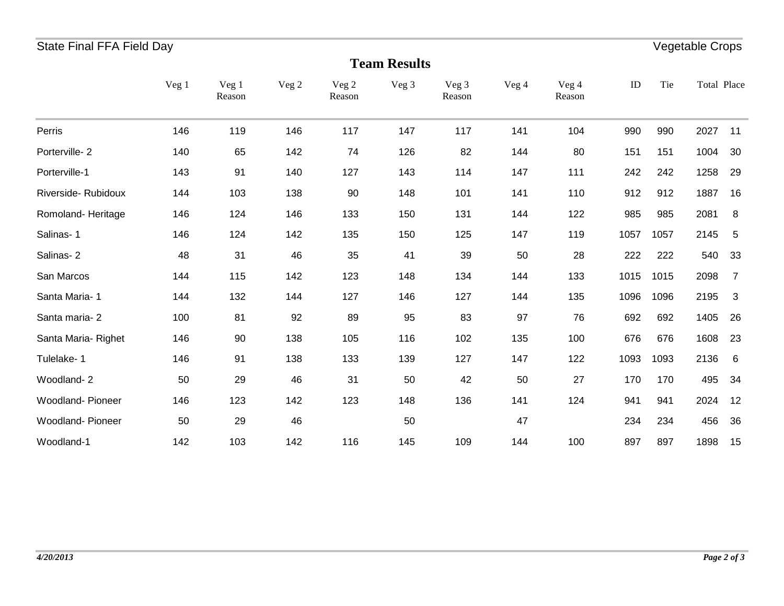## State Final FFA Field Day **Vegetable Crops**

| <b>Team Results</b>     |       |                 |       |                 |       |                 |       |                 |      |      |             |                |
|-------------------------|-------|-----------------|-------|-----------------|-------|-----------------|-------|-----------------|------|------|-------------|----------------|
|                         | Veg 1 | Veg 1<br>Reason | Veg 2 | Veg 2<br>Reason | Veg 3 | Veg 3<br>Reason | Veg 4 | Veg 4<br>Reason | ID   | Tie  | Total Place |                |
| Perris                  | 146   | 119             | 146   | 117             | 147   | 117             | 141   | 104             | 990  | 990  | 2027        | 11             |
| Porterville-2           | 140   | 65              | 142   | 74              | 126   | 82              | 144   | 80              | 151  | 151  | 1004        | 30             |
| Porterville-1           | 143   | 91              | 140   | 127             | 143   | 114             | 147   | 111             | 242  | 242  | 1258        | 29             |
| Riverside-Rubidoux      | 144   | 103             | 138   | 90              | 148   | 101             | 141   | 110             | 912  | 912  | 1887        | 16             |
| Romoland-Heritage       | 146   | 124             | 146   | 133             | 150   | 131             | 144   | 122             | 985  | 985  | 2081        | 8              |
| Salinas-1               | 146   | 124             | 142   | 135             | 150   | 125             | 147   | 119             | 1057 | 1057 | 2145        | 5              |
| Salinas-2               | 48    | 31              | 46    | 35              | 41    | 39              | 50    | 28              | 222  | 222  | 540         | 33             |
| San Marcos              | 144   | 115             | 142   | 123             | 148   | 134             | 144   | 133             | 1015 | 1015 | 2098        | $\overline{7}$ |
| Santa Maria-1           | 144   | 132             | 144   | 127             | 146   | 127             | 144   | 135             | 1096 | 1096 | 2195        | $\mathbf{3}$   |
| Santa maria-2           | 100   | 81              | 92    | 89              | 95    | 83              | 97    | 76              | 692  | 692  | 1405        | 26             |
| Santa Maria-Righet      | 146   | 90              | 138   | 105             | 116   | 102             | 135   | 100             | 676  | 676  | 1608        | 23             |
| Tulelake-1              | 146   | 91              | 138   | 133             | 139   | 127             | 147   | 122             | 1093 | 1093 | 2136        | 6              |
| Woodland-2              | 50    | 29              | 46    | 31              | 50    | 42              | 50    | 27              | 170  | 170  | 495         | 34             |
| <b>Woodland-Pioneer</b> | 146   | 123             | 142   | 123             | 148   | 136             | 141   | 124             | 941  | 941  | 2024        | 12             |
| Woodland-Pioneer        | 50    | 29              | 46    |                 | 50    |                 | 47    |                 | 234  | 234  | 456         | 36             |
| Woodland-1              | 142   | 103             | 142   | 116             | 145   | 109             | 144   | 100             | 897  | 897  | 1898        | 15             |